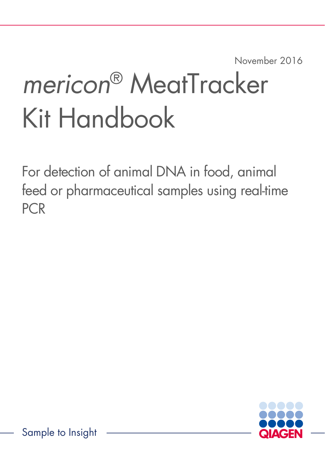November 2016

# *mericon*® MeatTracker Kit Handbook

For detection of animal DNA in food, animal feed or pharmaceutical samples using real-time PCR

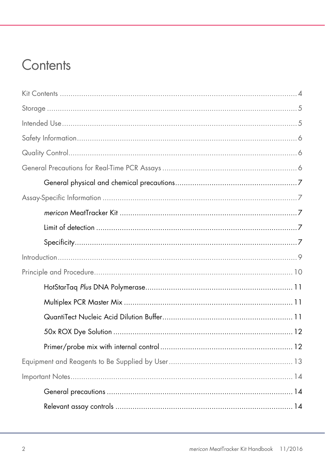### Contents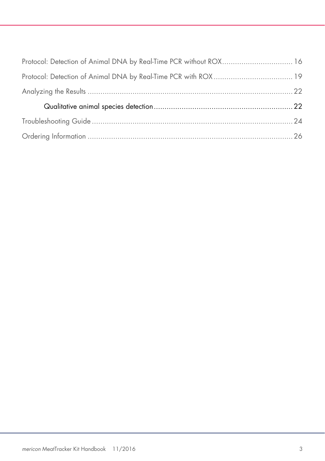| Protocol: Detection of Animal DNA by Real-Time PCR without ROX 16 |  |
|-------------------------------------------------------------------|--|
|                                                                   |  |
|                                                                   |  |
|                                                                   |  |
|                                                                   |  |
|                                                                   |  |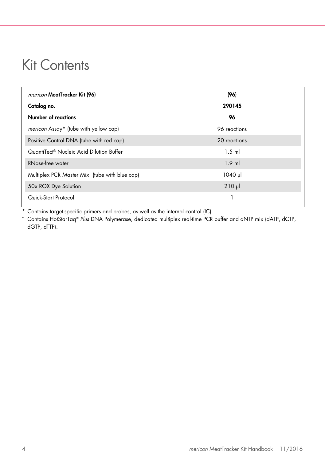### <span id="page-3-0"></span>Kit Contents

| <i>mericon</i> MeatTracker Kit (96)                        | (96)         |
|------------------------------------------------------------|--------------|
| Catalog no.                                                | 290145       |
| Number of reactions                                        | 96           |
| mericon Assay* (tube with yellow cap)                      | 96 reactions |
| Positive Control DNA (tube with red cap)                   | 20 reactions |
| QuantiTect® Nucleic Acid Dilution Buffer                   | $1.5$ m      |
| RNase-free water                                           | $1.9$ ml     |
| Multiplex PCR Master Mix <sup>t</sup> (tube with blue cap) | $1040$ pl    |
| 50x ROX Dye Solution                                       | $210$ $\mu$  |
| Quick-Start Protocol                                       |              |

\* Contains target-specific primers and probes, as well as the internal control (IC).

† Contains HotStarTaq® *Plus* DNA Polymerase, dedicated multiplex real-time PCR buffer and dNTP mix (dATP, dCTP, dGTP, dTTP).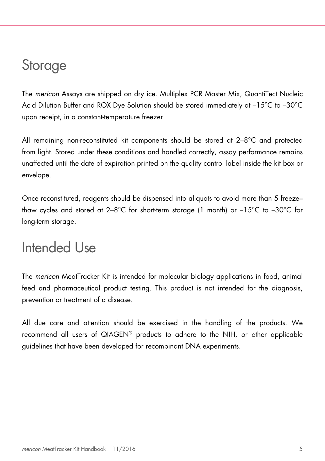### <span id="page-4-0"></span>**Storage**

The *mericon* Assays are shipped on dry ice. Multiplex PCR Master Mix, QuantiTect Nucleic Acid Dilution Buffer and ROX Dye Solution should be stored immediately at –15°C to –30°C upon receipt, in a constant-temperature freezer.

All remaining non-reconstituted kit components should be stored at 2–8°C and protected from light. Stored under these conditions and handled correctly, assay performance remains unaffected until the date of expiration printed on the quality control label inside the kit box or envelope.

Once reconstituted, reagents should be dispensed into aliquots to avoid more than 5 freeze– thaw cycles and stored at 2–8°C for short-term storage (1 month) or –15°C to –30°C for long-term storage.

### <span id="page-4-1"></span>Intended Use

The *mericon* MeatTracker Kit is intended for molecular biology applications in food, animal feed and pharmaceutical product testing. This product is not intended for the diagnosis, prevention or treatment of a disease.

All due care and attention should be exercised in the handling of the products. We recommend all users of QIAGEN® products to adhere to the NIH, or other applicable guidelines that have been developed for recombinant DNA experiments.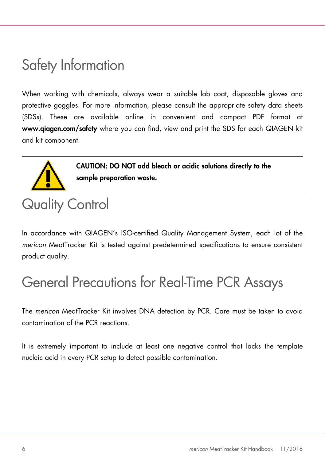# <span id="page-5-0"></span>Safety Information

When working with chemicals, always wear a suitable lab coat, disposable gloves and protective goggles. For more information, please consult the appropriate safety data sheets (SDSs). These are available online in convenient and compact PDF format at www.qiagen.com/safety where you can find, view and print the SDS for each QIAGEN kit and kit component.



CAUTION: DO NOT add bleach or acidic solutions directly to the sample preparation waste.

# <span id="page-5-1"></span>Quality Control

In accordance with QIAGEN's ISO-certified Quality Management System, each lot of the *mericon* MeatTracker Kit is tested against predetermined specifications to ensure consistent product quality.

# <span id="page-5-2"></span>General Precautions for Real-Time PCR Assays

The *mericon* MeatTracker Kit involves DNA detection by PCR. Care must be taken to avoid contamination of the PCR reactions.

It is extremely important to include at least one negative control that lacks the template nucleic acid in every PCR setup to detect possible contamination.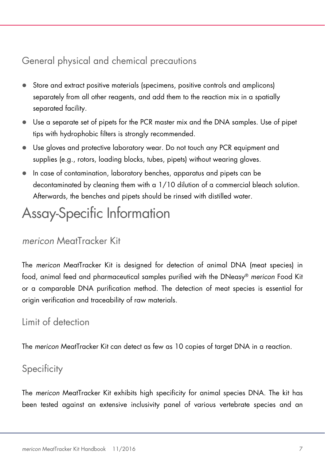### <span id="page-6-0"></span>General physical and chemical precautions

- Store and extract positive materials (specimens, positive controls and amplicons) separately from all other reagents, and add them to the reaction mix in a spatially separated facility.
- Use a separate set of pipets for the PCR master mix and the DNA samples. Use of pipet tips with hydrophobic filters is strongly recommended.
- Use gloves and protective laboratory wear. Do not touch any PCR equipment and supplies (e.g., rotors, loading blocks, tubes, pipets) without wearing gloves.
- In case of contamination, laboratory benches, apparatus and pipets can be decontaminated by cleaning them with a 1/10 dilution of a commercial bleach solution. Afterwards, the benches and pipets should be rinsed with distilled water.

# <span id="page-6-1"></span>Assay-Specific Information

#### <span id="page-6-2"></span>*mericon* MeatTracker Kit

The *mericon* MeatTracker Kit is designed for detection of animal DNA (meat species) in food, animal feed and pharmaceutical samples purified with the DNeasy® *mericon* Food Kit or a comparable DNA purification method. The detection of meat species is essential for origin verification and traceability of raw materials.

### <span id="page-6-3"></span>Limit of detection

The *mericon* MeatTracker Kit can detect as few as 10 copies of target DNA in a reaction.

### <span id="page-6-4"></span>**Specificity**

The *mericon* MeatTracker Kit exhibits high specificity for animal species DNA. The kit has been tested against an extensive inclusivity panel of various vertebrate species and an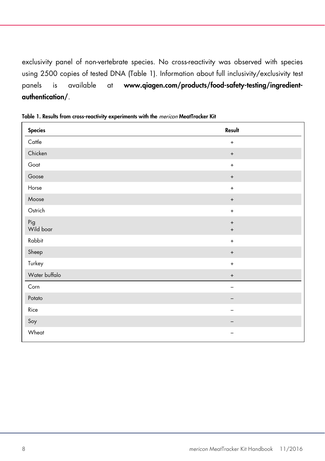exclusivity panel of non-vertebrate species. No cross-reactivity was observed with species using 2500 copies of tested DNA [\(Table](#page-7-0) 1). Information about full inclusivity/exclusivity test panels is available at www.qiagen.com/products/food-safety-testing/ingredientauthentication/.

| <b>Species</b>   | Result                                                               |
|------------------|----------------------------------------------------------------------|
| Cattle           | $\ddot{}$                                                            |
| Chicken          | $\boldsymbol{+}$                                                     |
| Goat             | $\bf{+}$                                                             |
| Goose            | $\begin{array}{c} + \end{array}$                                     |
| Horse            | $+$                                                                  |
| Moose            | $\boldsymbol{+}$                                                     |
| Ostrich          | $\ddot{}$                                                            |
| Pig<br>Wild boar | $\begin{array}{c} + \end{array}$<br>$\begin{array}{c} + \end{array}$ |
| Rabbit           | $\ddot{}$                                                            |
| Sheep            | $\begin{array}{c} + \end{array}$                                     |
| Turkey           | $\ddot{}$                                                            |
| Water buffalo    | $^{\mathrm{+}}$                                                      |
| Corn             |                                                                      |
| Potato           | -                                                                    |
| Rice             |                                                                      |
| Soy              |                                                                      |
| Wheat            |                                                                      |

<span id="page-7-0"></span>Table 1. Results from cross-reactivity experiments with the mericon MeatTracker Kit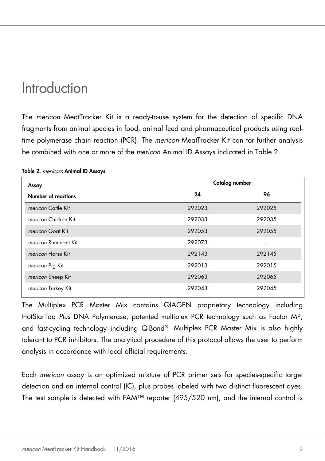### <span id="page-8-0"></span>Introduction

The *mericon* MeatTracker Kit is a ready-to-use system for the detection of specific DNA fragments from animal species in food, animal feed and pharmaceutical products using realtime polymerase chain reaction (PCR). The *mericon* MeatTracker Kit can for further analysis be combined with one or more of the *mericon* Animal ID Assays indicated i[n Table 2.](#page-8-1)

| Assay                | Catalog number |        |  |  |  |
|----------------------|----------------|--------|--|--|--|
| Number of reactions  | 24             | 96     |  |  |  |
| mericon Cattle Kit   | 292023         | 292025 |  |  |  |
| mericon Chicken Kit  | 292033         | 292035 |  |  |  |
| mericon Goat Kit     | 292053         | 292055 |  |  |  |
| mericon Ruminant Kit | 292073         |        |  |  |  |
| mericon Horse Kit    | 292143         | 292145 |  |  |  |
| mericon Pig Kit      | 292013         | 292015 |  |  |  |
| mericon Sheep Kit    | 292063         | 292065 |  |  |  |
| mericon Turkey Kit   | 292043         | 292045 |  |  |  |

#### <span id="page-8-1"></span>Table 2. mericorn Animal ID Assays

The Multiplex PCR Master Mix contains QIAGEN proprietary technology including HotStarTaq *Plus* DNA Polymerase, patented multiplex PCR technology such as Factor MP, and fast-cycling technology including Q-Bond®. Multiplex PCR Master Mix is also highly tolerant to PCR inhibitors. The analytical procedure of this protocol allows the user to perform analysis in accordance with local official requirements.

Each *mericon* assay is an optimized mixture of PCR primer sets for species-specific target detection and an internal control (IC), plus probes labeled with two distinct fluorescent dyes. The test sample is detected with FAM™ reporter (495/520 nm), and the internal control is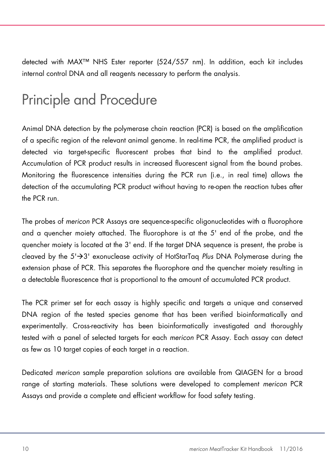detected with MAX™ NHS Ester reporter (524/557 nm). In addition, each kit includes internal control DNA and all reagents necessary to perform the analysis.

# <span id="page-9-0"></span>Principle and Procedure

Animal DNA detection by the polymerase chain reaction (PCR) is based on the amplification of a specific region of the relevant animal genome. In real-time PCR, the amplified product is detected via target-specific fluorescent probes that bind to the amplified product. Accumulation of PCR product results in increased fluorescent signal from the bound probes. Monitoring the fluorescence intensities during the PCR run (i.e., in real time) allows the detection of the accumulating PCR product without having to re-open the reaction tubes after the PCR run.

The probes of *mericon* PCR Assays are sequence-specific oligonucleotides with a fluorophore and a quencher moiety attached. The fluorophore is at the 5' end of the probe, and the quencher moiety is located at the 3' end. If the target DNA sequence is present, the probe is cleaved by the 5'3' exonuclease activity of HotStarTaq *Plus* DNA Polymerase during the extension phase of PCR. This separates the fluorophore and the quencher moiety resulting in a detectable fluorescence that is proportional to the amount of accumulated PCR product.

The PCR primer set for each assay is highly specific and targets a unique and conserved DNA region of the tested species genome that has been verified bioinformatically and experimentally. Cross-reactivity has been bioinformatically investigated and thoroughly tested with a panel of selected targets for each *mericon* PCR Assay. Each assay can detect as few as 10 target copies of each target in a reaction.

Dedicated *mericon* sample preparation solutions are available from QIAGEN for a broad range of starting materials. These solutions were developed to complement *mericon* PCR Assays and provide a complete and efficient workflow for food safety testing.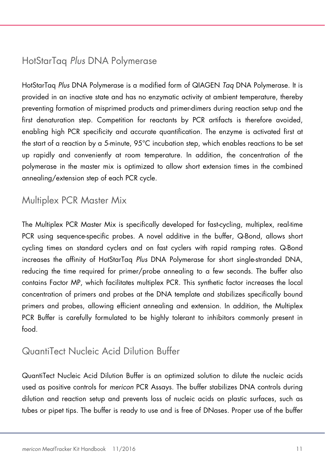### <span id="page-10-0"></span>HotStarTaq *Plus* DNA Polymerase

HotStarTaq *Plus* DNA Polymerase is a modified form of QIAGEN *Taq* DNA Polymerase. It is provided in an inactive state and has no enzymatic activity at ambient temperature, thereby preventing formation of misprimed products and primer-dimers during reaction setup and the first denaturation step. Competition for reactants by PCR artifacts is therefore avoided, enabling high PCR specificity and accurate quantification. The enzyme is activated first at the start of a reaction by a 5-minute, 95°C incubation step, which enables reactions to be set up rapidly and conveniently at room temperature. In addition, the concentration of the polymerase in the master mix is optimized to allow short extension times in the combined annealing/extension step of each PCR cycle.

### <span id="page-10-1"></span>Multiplex PCR Master Mix

The Multiplex PCR Master Mix is specifically developed for fast-cycling, multiplex, real-time PCR using sequence-specific probes. A novel additive in the buffer, Q-Bond, allows short cycling times on standard cyclers and on fast cyclers with rapid ramping rates. Q-Bond increases the affinity of HotStarTaq *Plus* DNA Polymerase for short single-stranded DNA, reducing the time required for primer/probe annealing to a few seconds. The buffer also contains Factor MP, which facilitates multiplex PCR. This synthetic factor increases the local concentration of primers and probes at the DNA template and stabilizes specifically bound primers and probes, allowing efficient annealing and extension. In addition, the Multiplex PCR Buffer is carefully formulated to be highly tolerant to inhibitors commonly present in food.

#### <span id="page-10-2"></span>QuantiTect Nucleic Acid Dilution Buffer

QuantiTect Nucleic Acid Dilution Buffer is an optimized solution to dilute the nucleic acids used as positive controls for *mericon* PCR Assays. The buffer stabilizes DNA controls during dilution and reaction setup and prevents loss of nucleic acids on plastic surfaces, such as tubes or pipet tips. The buffer is ready to use and is free of DNases. Proper use of the buffer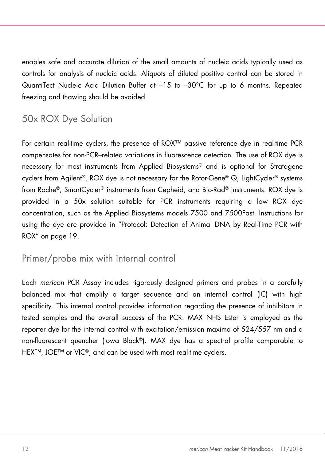enables safe and accurate dilution of the small amounts of nucleic acids typically used as controls for analysis of nucleic acids. Aliquots of diluted positive control can be stored in QuantiTect Nucleic Acid Dilution Buffer at –15 to –30°C for up to 6 months. Repeated freezing and thawing should be avoided.

### <span id="page-11-0"></span>50x ROX Dye Solution

For certain real-time cyclers, the presence of ROX™ passive reference dye in real-time PCR compensates for non-PCR–related variations in fluorescence detection. The use of ROX dye is necessary for most instruments from Applied Biosystems® and is optional for Stratagene cyclers from Agilent®. ROX dye is not necessary for the Rotor-Gene® Q, LightCycler® systems from Roche®, SmartCycler® instruments from Cepheid, and Bio-Rad® instruments. ROX dye is provided in a 50x solution suitable for PCR instruments requiring a low ROX dye concentration, such as the Applied Biosystems models 7500 and 7500Fast. Instructions for using the dye are provided in ["Protocol: Detection of Animal DNA by Real-Time PCR with](#page-18-0)  [ROX"](#page-18-0) on page [19.](#page-18-0)

#### <span id="page-11-1"></span>Primer/probe mix with internal control

Each *mericon* PCR Assay includes rigorously designed primers and probes in a carefully balanced mix that amplify a target sequence and an internal control (IC) with high specificity. This internal control provides information regarding the presence of inhibitors in tested samples and the overall success of the PCR. MAX NHS Ester is employed as the reporter dye for the internal control with excitation/emission maxima of 524/557 nm and a non-fluorescent quencher (Iowa Black®). MAX dye has a spectral profile comparable to HEX<sup>™</sup>, JOE<sup>™</sup> or VIC<sup>®</sup>, and can be used with most real-time cyclers.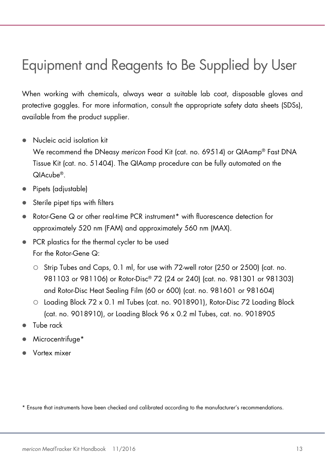# <span id="page-12-0"></span>Equipment and Reagents to Be Supplied by User

When working with chemicals, always wear a suitable lab coat, disposable gloves and protective goggles. For more information, consult the appropriate safety data sheets (SDSs), available from the product supplier.

Nucleic acid isolation kit

We recommend the DNeasy *mericon* Food Kit (cat. no. 69514) or QIAamp® Fast DNA Tissue Kit (cat. no. 51404). The QIAamp procedure can be fully automated on the QIAcube®.

- Pipets (adjustable)
- Sterile pipet tips with filters
- Rotor-Gene Q or other real-time PCR instrument[\\*](#page-12-1) with fluorescence detection for approximately 520 nm (FAM) and approximately 560 nm (MAX).
- PCR plastics for the thermal cycler to be used For the Rotor-Gene Q:
	- O Strip Tubes and Caps, 0.1 ml, for use with 72-well rotor (250 or 2500) (cat. no. 981103 or 981106) or Rotor-Disc® 72 (24 or 240) (cat. no. 981301 or 981303) and Rotor-Disc Heat Sealing Film (60 or 600) (cat. no. 981601 or 981604)
	- Loading Block 72 x 0.1 ml Tubes (cat. no. 9018901), Rotor-Disc 72 Loading Block (cat. no. 9018910), or Loading Block 96 x 0.2 ml Tubes, cat. no. 9018905
- Tube rack
- Microcentrifuge\*
- Vortex mixer

<span id="page-12-1"></span>\* Ensure that instruments have been checked and calibrated according to the manufacturer's recommendations.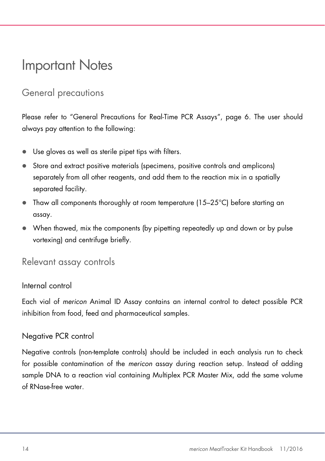### <span id="page-13-0"></span>Important Notes

### <span id="page-13-1"></span>General precautions

Please refer to ["General Precautions for Real-Time PCR Assays"](#page-5-2), page [6.](#page-5-2) The user should always pay attention to the following:

- Use gloves as well as sterile pipet tips with filters.
- Store and extract positive materials (specimens, positive controls and amplicons) separately from all other reagents, and add them to the reaction mix in a spatially separated facility.
- Thaw all components thoroughly at room temperature (15–25°C) before starting an assay.
- When thawed, mix the components (by pipetting repeatedly up and down or by pulse vortexing) and centrifuge briefly.

#### <span id="page-13-2"></span>Relevant assay controls

#### Internal control

Each vial of *mericon* Animal ID Assay contains an internal control to detect possible PCR inhibition from food, feed and pharmaceutical samples.

#### Negative PCR control

Negative controls (non-template controls) should be included in each analysis run to check for possible contamination of the *mericon* assay during reaction setup. Instead of adding sample DNA to a reaction vial containing Multiplex PCR Master Mix, add the same volume of RNase-free water.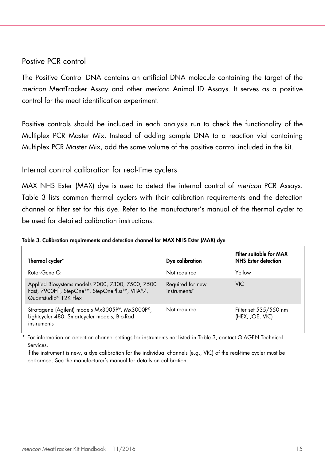#### Postive PCR control

The Positive Control DNA contains an artificial DNA molecule containing the target of the *mericon* MeatTracker Assay and other *mericon* Animal ID Assays. It serves as a positive control for the meat identification experiment.

Positive controls should be included in each analysis run to check the functionality of the Multiplex PCR Master Mix. Instead of adding sample DNA to a reaction vial containing Multiplex PCR Master Mix, add the same volume of the positive control included in the kit.

#### Internal control calibration for real-time cyclers

MAX NHS Ester (MAX) dye is used to detect the internal control of *mericon* PCR Assays. [Table 3](#page-14-0) lists common thermal cyclers with their calibration requirements and the detection channel or filter set for this dye. Refer to the manufacturer's manual of the thermal cycler to be used for detailed calibration instructions.

<span id="page-14-0"></span>

| Table 3. Calibration requirements and detection channel for MAX NHS Ester (MAX) dye |  |  |  |  |  |  |
|-------------------------------------------------------------------------------------|--|--|--|--|--|--|
|-------------------------------------------------------------------------------------|--|--|--|--|--|--|

| Thermal cycler*                                                                                                                        | Dye calibration                                 | Filter suitable for MAX<br><b>NHS</b> Ester detection |
|----------------------------------------------------------------------------------------------------------------------------------------|-------------------------------------------------|-------------------------------------------------------|
| Rotor-Gene Q                                                                                                                           | Not required                                    | Yellow                                                |
| Applied Biosystems models 7000, 7300, 7500, 7500<br>Fast, 7900HT, StepOne™, StepOnePlus™, ViiA®7,<br>Quantstudio <sup>®</sup> 12K Flex | Required for new<br>$in$ struments <sup>†</sup> | <b>VIC</b>                                            |
| Stratagene (Agilent) models Mx3005P®, Mx3000P®,<br>Lightcycler 480, Smartcycler models, Bio-Rad<br>instruments                         | Not required                                    | Filter set 535/550 nm<br>(HEX, JOE, VIC)              |

\* For information on detection channel settings for instruments not listed i[n Table 3,](#page-14-0) contact QIAGEN Technical Services.

† If the instrument is new, a dye calibration for the individual channels (e.g., VIC) of the real-time cycler must be performed. See the manufacturer's manual for details on calibration.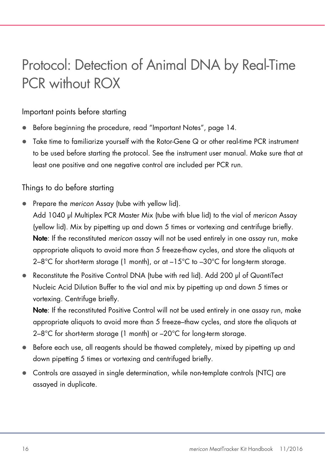# <span id="page-15-0"></span>Protocol: Detection of Animal DNA by Real-Time PCR without ROX

#### Important points before starting

- Before beginning the procedure, read ["Important Notes"](#page-13-0), page [14.](#page-13-0)
- Take time to familiarize yourself with the Rotor-Gene Q or other real-time PCR instrument to be used before starting the protocol. See the instrument user manual. Make sure that at least one positive and one negative control are included per PCR run.

#### Things to do before starting

- <span id="page-15-1"></span> Prepare the *mericon* Assay (tube with yellow lid).
	- Add 1040 µl Multiplex PCR Master Mix (tube with blue lid) to the vial of *mericon* Assay (yellow lid). Mix by pipetting up and down 5 times or vortexing and centrifuge briefly. Note: If the reconstituted *mericon* assay will not be used entirely in one assay run, make appropriate aliquots to avoid more than 5 freeze-thaw cycles, and store the aliquots at  $2-8^{\circ}$ C for short-term storage (1 month), or at  $-15^{\circ}$ C to  $-30^{\circ}$ C for long-term storage.
- Reconstitute the Positive Control DNA (tube with red lid). Add 200 µl of QuantiTect Nucleic Acid Dilution Buffer to the vial and mix by pipetting up and down 5 times or vortexing. Centrifuge briefly.

Note: If the reconstituted Positive Control will not be used entirely in one assay run, make appropriate aliquots to avoid more than 5 freeze–thaw cycles, and store the aliquots at 2–8°C for short-term storage (1 month) or –20°C for long-term storage.

- Before each use, all reagents should be thawed completely, mixed by pipetting up and down pipetting 5 times or vortexing and centrifuged briefly.
- Controls are assayed in single determination, while non-template controls (NTC) are assayed in duplicate.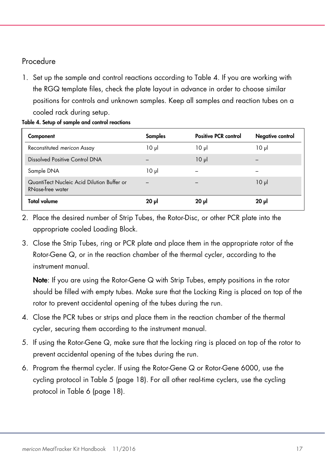#### Procedure

1. Set up the sample and control reactions according to [Table 4.](#page-16-0) If you are working with the RGQ template files, check the plate layout in advance in order to choose similar positions for controls and unknown samples. Keep all samples and reaction tubes on a cooled rack during setup.

<span id="page-16-0"></span>

|  |  |  | Table 4. Setup of sample and control reactions |  |
|--|--|--|------------------------------------------------|--|
|  |  |  |                                                |  |

| Component                                                      | <b>Samples</b> | <b>Positive PCR control</b> | Negative control |
|----------------------------------------------------------------|----------------|-----------------------------|------------------|
| Reconstituted mericon Assay                                    | $10 \mu$       | $10 \mu$                    | ار 10            |
| Dissolved Positive Control DNA                                 |                | 10 <sub>µ</sub>             |                  |
| Sample DNA                                                     | $10 \mu$       |                             |                  |
| QuantiTect Nucleic Acid Dilution Buffer or<br>RNase-free water |                |                             | $10 \mu$         |
| <b>Total volume</b>                                            | $20 \mu$       | $20 \mu$                    | $20 \mu$         |

- 2. Place the desired number of Strip Tubes, the Rotor-Disc, or other PCR plate into the appropriate cooled Loading Block.
- 3. Close the Strip Tubes, ring or PCR plate and place them in the appropriate rotor of the Rotor-Gene Q, or in the reaction chamber of the thermal cycler, according to the instrument manual.

Note: If you are using the Rotor-Gene Q with Strip Tubes, empty positions in the rotor should be filled with empty tubes. Make sure that the Locking Ring is placed on top of the rotor to prevent accidental opening of the tubes during the run.

- 4. Close the PCR tubes or strips and place them in the reaction chamber of the thermal cycler, securing them according to the instrument manual.
- 5. If using the Rotor-Gene Q, make sure that the locking ring is placed on top of the rotor to prevent accidental opening of the tubes during the run.
- 6. Program the thermal cycler. If using the Rotor-Gene Q or Rotor-Gene 6000, use the cycling protocol in [Table](#page-17-0) 5 (page [18\).](#page-17-0) For all other real-time cyclers, use the cycling protocol in [Table](#page-17-1) 6 (page [18\)](#page-17-1).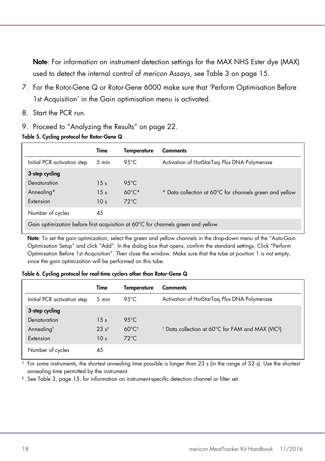Note: For information on instrument detection settings for the MAX NHS Ester dye (MAX) used to detect the internal control of *mericon* Assays, see [Table 3](#page-14-0) on page [15.](#page-14-0)

- 7. For the Rotor-Gene Q or Rotor-Gene 6000 make sure that 'Perform Optimisation Before 1st Acquisition' in the Gain optimisation menu is activated.
- 8. Start the PCR run.
- 9. Proceed to ["Analyzing the Results"](#page-21-0) on page [22.](#page-21-0)

|                                                                                  | Time            | <b>Temperature</b> | <b>Comments</b>                                         |  |
|----------------------------------------------------------------------------------|-----------------|--------------------|---------------------------------------------------------|--|
| Initial PCR activation step                                                      | 5 min           | 95 $°C$            | Activation of HotStarTag Plus DNA Polymerase            |  |
| 3-step cycling                                                                   |                 |                    |                                                         |  |
| Denaturation                                                                     | 15 <sub>s</sub> | $9.5^{\circ}$ C    |                                                         |  |
| Annealing*                                                                       | 15 <sub>s</sub> | $60^{\circ}$ C*    | * Data collection at 60°C for channels green and yellow |  |
| Extension                                                                        | 10 <sub>s</sub> | $72^{\circ}$ C     |                                                         |  |
| Number of cycles                                                                 | 45              |                    |                                                         |  |
| Gain optimization before first acquisition at 60°C for channels green and yellow |                 |                    |                                                         |  |

#### <span id="page-17-0"></span>Table 5. Cycling protocol for Rotor-Gene Q

Note: To set the gain optimization, select the green and yellow channels in the drop-down menu of the "Auto-Gain Optimisation Setup" and click "Add". In the dialog box that opens, confirm the standard settings. Click "Perform Optimisation Before 1st Acquisition". Then close the window. Make sure that the tube at position 1 is not empty, since the gain optimization will be performed on this tube.

<span id="page-17-1"></span>Table 6. Cycling protocol for real-time cyclers other than Rotor-Gene Q

|                             | Time              | Temperature                 | <b>Comments</b>                                                          |
|-----------------------------|-------------------|-----------------------------|--------------------------------------------------------------------------|
| Initial PCR activation step | 5 min             | 95 $°C$                     | Activation of HotStarTag Plus DNA Polymerase                             |
| 3-step cycling              |                   |                             |                                                                          |
| Denaturation                | 15 <sub>s</sub>   | $95^{\circ}$ C              |                                                                          |
| Annealing <sup>t</sup>      | 23 s <sup>‡</sup> | $60^{\circ}$ C <sup>t</sup> | <sup>†</sup> Data collection at 60°C for FAM and MAX (VIC <sup>§</sup> ) |
| Extension                   | 10 <sub>s</sub>   | $72^{\circ}$ C              |                                                                          |
| Number of cycles            | 45                |                             |                                                                          |

‡ For some instruments, the shortest annealing time possible is longer than 23 s (in the range of 32 s). Use the shortest annealing time permitted by the instrument.

§ See [Table 3,](#page-14-0) page [15,](#page-14-0) for information on instrument-specific detection channel or filter set.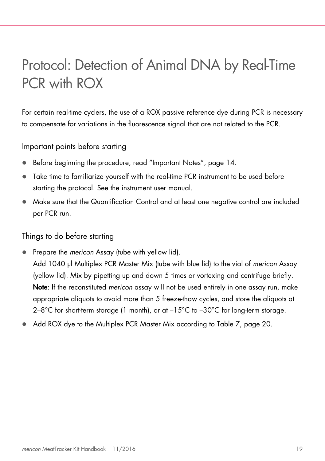# <span id="page-18-0"></span>Protocol: Detection of Animal DNA by Real-Time PCR with ROX

For certain real-time cyclers, the use of a ROX passive reference dye during PCR is necessary to compensate for variations in the fluorescence signal that are not related to the PCR.

Important points before starting

- Before beginning the procedure, read ["Important Notes"](#page-13-0), page [14.](#page-13-0)
- Take time to familiarize yourself with the real-time PCR instrument to be used before starting the protocol. See the instrument user manual.
- Make sure that the Quantification Control and at least one negative control are included per PCR run.

Things to do before starting

- Prepare the *mericon* [Assay \(tube with yellow lid\).](#page-15-1)
- [Add 1040 µl Multiplex PCR Master Mix \(tube with blue lid\) to the](#page-15-1) vial of *mericon* Assay [\(yellow lid\). Mix by pipetting up and down 5 times or vortexing and centrifuge briefly.](#page-15-1) Note: If the reconstituted *mericon* [assay will not be used entirely in one assay run, make](#page-15-1)  [appropriate aliquots to avoid more than 5 freeze-thaw cycles, and store the aliquots at](#page-15-1)   $2-8^{\circ}$ C for short-term storage (1 month), or at  $-15^{\circ}$ C to  $-30^{\circ}$ C for long-term storage.
- Add ROX dye to the Multiplex PCR Master Mix according to [Table 7,](#page-19-0) page [20.](#page-19-0)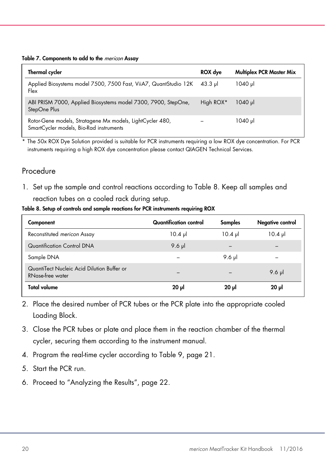<span id="page-19-0"></span>

|  | Table 7. Components to add to the mericon Assay |  |  |  |  |  |
|--|-------------------------------------------------|--|--|--|--|--|
|--|-------------------------------------------------|--|--|--|--|--|

| Thermal cycler                                                                                       | ROX dye           | <b>Multiplex PCR Master Mix</b> |
|------------------------------------------------------------------------------------------------------|-------------------|---------------------------------|
| Applied Biosystems model 7500, 7500 Fast, ViiA7, QuantStudio 12K<br>Flex                             | $43.3 \text{ pl}$ | 1040 µl                         |
| ABI PRISM 7000, Applied Biosystems model 7300, 7900, StepOne,<br>StepOne Plus                        | High ROX*         | 1040 ul                         |
| Rotor-Gene models, Stratagene Mx models, LightCycler 480,<br>SmartCycler models, Bio-Rad instruments |                   | 1040 µl                         |

The 50x ROX Dye Solution provided is suitable for PCR instruments requiring a low ROX dye concentration. For PCR instruments requiring a high ROX dye concentration please contact QIAGEN Technical Services.

#### Procedure

1. Set up the sample and control reactions according to [Table 8.](#page-19-1) Keep all samples and reaction tubes on a cooled rack during setup.

#### <span id="page-19-1"></span>Table 8. Setup of controls and sample reactions for PCR instruments requiring ROX

| Component                                                      | Quantification control | Samples           | Negative control  |
|----------------------------------------------------------------|------------------------|-------------------|-------------------|
| Reconstituted mericon Assay                                    | $10.4 \text{ pl}$      | $10.4 \text{ pl}$ | $10.4 \text{ pl}$ |
| Quantification Control DNA                                     | $9.6$ pl               |                   |                   |
| Sample DNA                                                     |                        | 9.6 $\mu$         |                   |
| QuantiTect Nucleic Acid Dilution Buffer or<br>RNase-free water |                        |                   | 9.6 $\mu$         |
| Total volume                                                   | 20 µl                  | $20 \mu$          | $20 \mu$          |

- 2. Place the desired number of PCR tubes or the PCR plate into the appropriate cooled Loading Block.
- 3. Close the PCR tubes or plate and place them in the reaction chamber of the thermal cycler, securing them according to the instrument manual.
- 4. Program the real-time cycler according to [Table 9,](#page-20-0) page [21.](#page-20-0)
- 5. Start the PCR run.
- 6. Proceed to ["Analyzing the Results"](#page-21-0), page [22.](#page-21-0)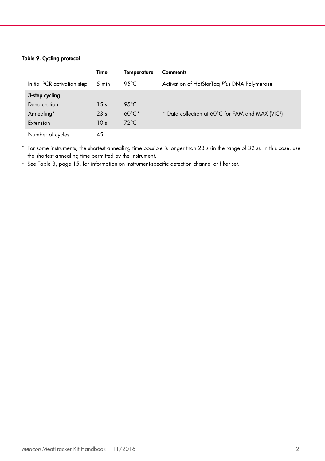#### <span id="page-20-0"></span>Table 9. Cycling protocol

|                             | Time             | <b>Temperature</b> | <b>Comments</b>                                               |
|-----------------------------|------------------|--------------------|---------------------------------------------------------------|
| Initial PCR activation step | 5 min            | 95 $°C$            | Activation of HotStarTag Plus DNA Polymerase                  |
| 3-step cycling              |                  |                    |                                                               |
| Denaturation                | 15 <sub>s</sub>  | $95^{\circ}$ C     |                                                               |
| Annealing*                  | $23 \text{ s}^+$ | $60^{\circ}$ C*    | * Data collection at 60°C for FAM and MAX (VIC <sup>+</sup> ) |
| Extension                   | 10 <sub>s</sub>  | $72^{\circ}$ C     |                                                               |
| Number of cycles            | 45               |                    |                                                               |

† For some instruments, the shortest annealing time possible is longer than 23 s (in the range of 32 s). In this case, use the shortest annealing time permitted by the instrument.

‡ See [Table 3,](#page-14-0) page [15,](#page-14-0) for information on instrument-specific detection channel or filter set.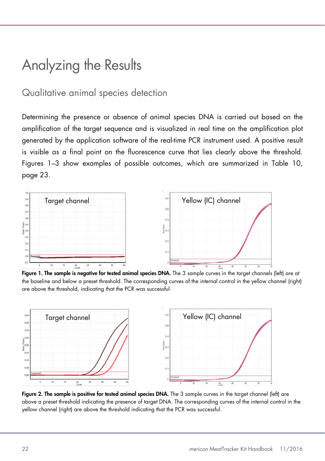### <span id="page-21-0"></span>Analyzing the Results

#### <span id="page-21-1"></span>Qualitative animal species detection

Determining the presence or absence of animal species DNA is carried out based on the amplification of the target sequence and is visualized in real time on the amplification plot generated by the application software of the real-time PCR instrument used. A positive result is visible as a final point on the fluorescence curve that lies clearly above the threshold. Figures 1–3 show examples of possible outcomes, which are summarized in [Table](#page-22-0) 10, page [23.](#page-22-0)



Figure 1. The sample is negative for tested animal species DNA. The 3 sample curves in the target channels (left) are at the baseline and below a preset threshold. The corresponding curves of the internal control in the yellow channel (right) are above the threshold, indicating that the PCR was successful.



Figure 2. The sample is positive for tested animal species DNA. The 3 sample curves in the target channel (left) are above a preset threshold indicating the presence of target DNA. The corresponding curves of the internal control in the yellow channel (right) are above the threshold indicating that the PCR was successful.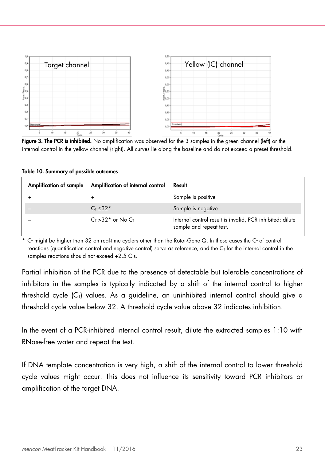

Figure 3. The PCR is inhibited. No amplification was observed for the 3 samples in the green channel (left) or the internal control in the yellow channel (right). All curves lie along the baseline and do not exceed a preset threshold.

<span id="page-22-0"></span>

| Table 10. Summary of possible outcomes |  |  |  |
|----------------------------------------|--|--|--|
|----------------------------------------|--|--|--|

| Amplification of sample Amplification of internal control | Result                                                                               |
|-----------------------------------------------------------|--------------------------------------------------------------------------------------|
| ÷                                                         | Sample is positive                                                                   |
| $C_{T}$ < 32*                                             | Sample is negative                                                                   |
| $C_{\text{I}} > 32$ * or No $C_{\text{I}}$                | Internal control result is invalid, PCR inhibited; dilute<br>sample and repeat test. |

 $C_I$  might be higher than 32 on real-time cyclers other than the Rotor-Gene Q. In these cases the  $C_I$  of control reactions (quantification control and negative control) serve as reference, and the  $C<sub>T</sub>$  for the internal control in the samples reactions should not exceed  $+2.5$  C<sub>TS</sub>.

Partial inhibition of the PCR due to the presence of detectable but tolerable concentrations of inhibitors in the samples is typically indicated by a shift of the internal control to higher threshold cycle  $(C<sub>1</sub>)$  values. As a guideline, an uninhibited internal control should give a threshold cycle value below 32. A threshold cycle value above 32 indicates inhibition.

In the event of a PCR-inhibited internal control result, dilute the extracted samples 1:10 with RNase-free water and repeat the test.

If DNA template concentration is very high, a shift of the internal control to lower threshold cycle values might occur. This does not influence its sensitivity toward PCR inhibitors or amplification of the target DNA.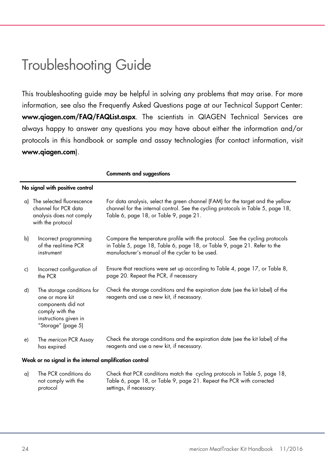### <span id="page-23-0"></span>Troubleshooting Guide

This troubleshooting guide may be helpful in solving any problems that may arise. For more information, see also the Frequently Asked Questions page at our Technical Support Center: www.qiagen.com/FAQ/FAQList.aspx. The scientists in QIAGEN Technical Services are always happy to answer any questions you may have about either the information and/or protocols in this handbook or sample and assay technologies (for contact information, visit www.qiagen.com).

|    |                                                                                                                                       | งแแนนแจ นแน จบนูนุนจแบแจ                                                                                                                                                                                      |
|----|---------------------------------------------------------------------------------------------------------------------------------------|---------------------------------------------------------------------------------------------------------------------------------------------------------------------------------------------------------------|
|    | No signal with positive control                                                                                                       |                                                                                                                                                                                                               |
|    | a) The selected fluorescence<br>channel for PCR data<br>analysis does not comply<br>with the protocol                                 | For data analysis, select the green channel (FAM) for the target and the yellow<br>channel for the internal control. See the cycling protocols in Table 5, page 18,<br>Table 6, page 18, or Table 9, page 21. |
| b) | Incorrect programming<br>of the real-time PCR<br>instrument                                                                           | Compare the temperature profile with the protocol. See the cycling protocols<br>in Table 5, page 18, Table 6, page 18, or Table 9, page 21. Refer to the<br>manufacturer's manual of the cycler to be used.   |
| C) | Incorrect configuration of<br>the PCR                                                                                                 | Ensure that reactions were set up according to Table 4, page 17, or Table 8,<br>page 20. Repeat the PCR, if necessary                                                                                         |
| d) | The storage conditions for<br>one or more kit<br>components did not<br>comply with the<br>instructions given in<br>"Storage" (page 5) | Check the storage conditions and the expiration date (see the kit label) of the<br>reagents and use a new kit, if necessary.                                                                                  |
| e) | The mericon PCR Assay<br>has expired                                                                                                  | Check the storage conditions and the expiration date (see the kit label) of the<br>reagents and use a new kit, if necessary.                                                                                  |
|    | Weak or no signal in the internal amplification control                                                                               |                                                                                                                                                                                                               |
| a) | The PCR conditions do<br>not comply with the<br>protocol                                                                              | Check that PCR conditions match the cycling protocols in Table 5, page 18,<br>Table 6, page 18, or Table 9, page 21. Repeat the PCR with corrected<br>settinas, if necessary.                                 |

#### Comments and suggestions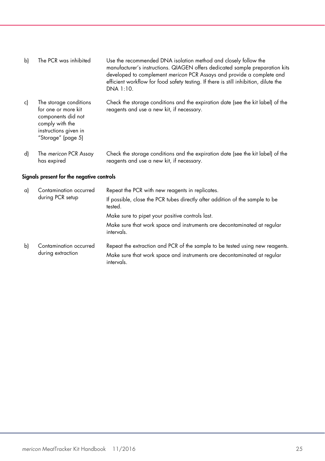| b) | The PCR was inhibited                                                                                                                 | Use the recommended DNA isolation method and closely follow the<br>manufacturer's instructions. QIAGEN offers dedicated sample preparation kits<br>developed to complement mericon PCR Assays and provide a complete and<br>efficient workflow for food safety testing. If there is still inhibition, dilute the<br>DNA 1:10. |
|----|---------------------------------------------------------------------------------------------------------------------------------------|-------------------------------------------------------------------------------------------------------------------------------------------------------------------------------------------------------------------------------------------------------------------------------------------------------------------------------|
| c) | The storage conditions<br>for one or more kit<br>components did not<br>comply with the<br>instructions given in<br>"Storage" (page 5) | Check the storage conditions and the expiration date (see the kit label) of the<br>reagents and use a new kit, if necessary.                                                                                                                                                                                                  |
| d) | The mericon PCR Assay                                                                                                                 | Check the storage conditions and the expiration date (see the kit label) of the                                                                                                                                                                                                                                               |

reagents and use a new kit, if necessary.

#### Signals present for the negative controls

has expired

| a)<br>during PCR setup | Contamination occurred                      | Repeat the PCR with new reagents in replicates.                                                                                                                       |
|------------------------|---------------------------------------------|-----------------------------------------------------------------------------------------------------------------------------------------------------------------------|
|                        |                                             | If possible, close the PCR tubes directly after addition of the sample to be<br>tested.                                                                               |
|                        |                                             | Make sure to pipet your positive controls last.                                                                                                                       |
|                        |                                             | Make sure that work space and instruments are decontaminated at regular<br>intervals.                                                                                 |
| b)                     | Contamination occurred<br>during extraction | Repeat the extraction and PCR of the sample to be tested using new reagents.<br>Make sure that work space and instruments are decontaminated at regular<br>intervals. |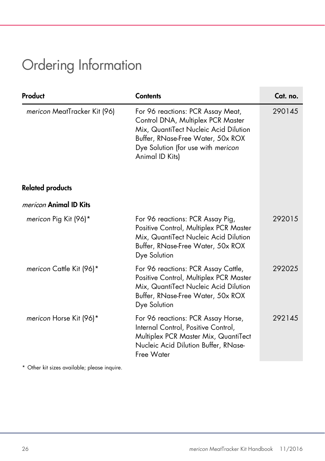# <span id="page-25-0"></span>Ordering Information

| Product                      | <b>Contents</b>                                                                                                                                                                                               | Cat. no. |
|------------------------------|---------------------------------------------------------------------------------------------------------------------------------------------------------------------------------------------------------------|----------|
| mericon MeatTracker Kit (96) | For 96 reactions: PCR Assay Meat,<br>Control DNA, Multiplex PCR Master<br>Mix, QuantiTect Nucleic Acid Dilution<br>Buffer, RNase-Free Water, 50x ROX<br>Dye Solution (for use with mericon<br>Animal ID Kits) | 290145   |
| <b>Related products</b>      |                                                                                                                                                                                                               |          |
| mericon Animal ID Kits       |                                                                                                                                                                                                               |          |
| mericon Pig Kit (96)*        | For 96 reactions: PCR Assay Pig,<br>Positive Control, Multiplex PCR Master<br>Mix, QuantiTect Nucleic Acid Dilution<br>Buffer, RNase-Free Water, 50x ROX<br>Dye Solution                                      | 292015   |
| mericon Cattle Kit (96)*     | For 96 reactions: PCR Assay Cattle,<br>Positive Control, Multiplex PCR Master<br>Mix, QuantiTect Nucleic Acid Dilution<br>Buffer, RNase-Free Water, 50x ROX<br>Dye Solution                                   | 292025   |
| mericon Horse Kit (96)*      | For 96 reactions: PCR Assay Horse,<br>Internal Control, Positive Control,<br>Multiplex PCR Master Mix, QuantiTect<br>Nucleic Acid Dilution Buffer, RNase-<br>Free Water                                       | 292145   |

\* Other kit sizes available; please inquire.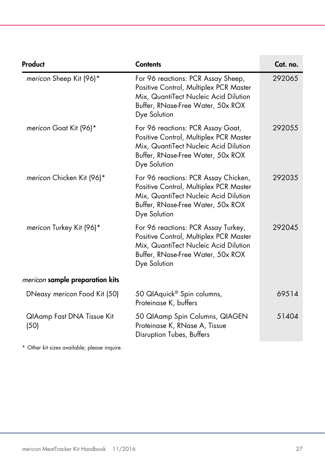| Product                                | <b>Contents</b>                                                                                                                                                              | Cat. no. |
|----------------------------------------|------------------------------------------------------------------------------------------------------------------------------------------------------------------------------|----------|
| mericon Sheep Kit (96)*                | For 96 reactions: PCR Assay Sheep,<br>Positive Control, Multiplex PCR Master<br>Mix, QuantiTect Nucleic Acid Dilution<br>Buffer, RNase-Free Water, 50x ROX<br>Dye Solution   | 292065   |
| mericon Goat Kit (96)*                 | For 96 reactions: PCR Assay Goat,<br>Positive Control, Multiplex PCR Master<br>Mix, QuantiTect Nucleic Acid Dilution<br>Buffer, RNase-Free Water, 50x ROX<br>Dye Solution    | 292055   |
| mericon Chicken Kit (96)*              | For 96 reactions: PCR Assay Chicken,<br>Positive Control, Multiplex PCR Master<br>Mix, QuantiTect Nucleic Acid Dilution<br>Buffer, RNase-Free Water, 50x ROX<br>Dye Solution | 292035   |
| mericon Turkey Kit (96)*               | For 96 reactions: PCR Assay Turkey,<br>Positive Control, Multiplex PCR Master<br>Mix, QuantiTect Nucleic Acid Dilution<br>Buffer, RNase-Free Water, 50x ROX<br>Dye Solution  | 292045   |
| <i>mericon</i> sample preparation kits |                                                                                                                                                                              |          |
| DNeasy mericon Food Kit (50)           | 50 QIAquick <sup>®</sup> Spin columns,<br>Proteinase K, buffers                                                                                                              | 69514    |
| QIAamp Fast DNA Tissue Kit<br>(50)     | 50 QIAamp Spin Columns, QIAGEN<br>Proteinase K, RNase A, Tissue<br>Disruption Tubes, Buffers                                                                                 | 51404    |

\* Other kit sizes available; please inquire.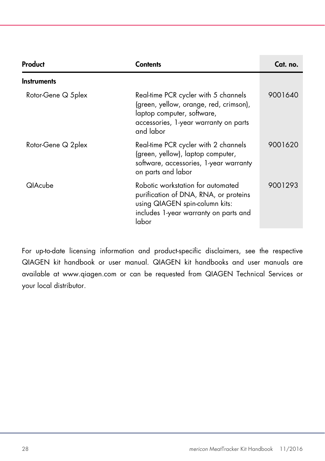| Product             | Contents                                                                                                                                                           | Cat. no. |
|---------------------|--------------------------------------------------------------------------------------------------------------------------------------------------------------------|----------|
| <b>Instruments</b>  |                                                                                                                                                                    |          |
| Rotor-Gene Q 5 plex | Real-time PCR cycler with 5 channels<br>(green, yellow, orange, red, crimson),<br>laptop computer, software,<br>accessories, 1-year warranty on parts<br>and labor | 9001640  |
| Rotor-Gene Q 2plex  | Real-time PCR cycler with 2 channels<br>(green, yellow), laptop computer,<br>software, accessories, 1-year warranty<br>on parts and labor                          | 9001620  |
| <b>QIAcube</b>      | Robotic workstation for automated<br>purification of DNA, RNA, or proteins<br>using QIAGEN spin-column kits:<br>includes 1-year warranty on parts and<br>labor     | 9001293  |

For up-to-date licensing information and product-specific disclaimers, see the respective QIAGEN kit handbook or user manual. QIAGEN kit handbooks and user manuals are available at www.qiagen.com or can be requested from QIAGEN Technical Services or your local distributor.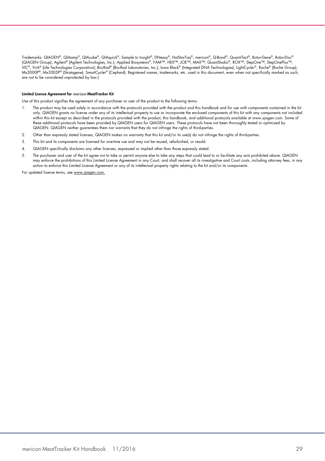Trademarks: QIAGEN®, QIAamp®, QIAcube®, QIAquick®, Sample to Insight®, DNeasy®, HotStarTaq®, *mericon*®, Q-Bond®, QuantiTect®, Rotor-Gene®, Rotor-Disc® (QIAGEN Group); Agilent® (Agilent Technologies, Inc.); Applied Biosystems®, FAM™, HEX™, JOE™, MAX™, QuantStudio®, ROX™, StepOne™, StepOnePlus™, VIC®, ViiA® (Life Technologies Corporation); Bio-Rad® (Bio-Rad Laboratories, Inc.); Iowa Black® (Integrated DNA Technologies); LightCycler®, Roche® (Roche Group); Mx3000P®, Mx3005P® (Stratagene); SmartCycler® (Cepheid). Registered names, trademarks, etc. used in this document, even when not specifically marked as such, are not to be considered unprotected by law.)

#### Limited License Agreement for mericon MeatTracker Kit

Use of this product signifies the agreement of any purchaser or user of the product to the following terms:

- 1. The product may be used solely in accordance with the protocols provided with the product and this handbook and for use with components contained in the kit only. QIAGEN grants no license under any of its intellectual property to use or incorporate the enclosed components of this kit with any components not included<br>within this kit except as described in the protocols provided these additional protocols have been provided by QIAGEN users for QIAGEN users. These protocols have not been thoroughly tested or optimized by QIAGEN. QIAGEN neither guarantees them nor warrants that they do not infringe the rights of third-parties.
- 2. Other than expressly stated licenses, QIAGEN makes no warranty that this kit and/or its use(s) do not infringe the rights of third-parties.
- 3. This kit and its components are licensed for one-time use and may not be reused, refurbished, or resold.
- 4. QIAGEN specifically disclaims any other licenses, expressed or implied other than those expressly stated.
- 5. The purchaser and user of the kit agree not to take or permit anyone else to take any steps that could lead to or facilitate any acts prohibited above. QIAGEN may entorce the prohibitions ot this Limited License Agreement in any Court, and shall recover all its investigative and Court costs, including attorney tees, in any<br>action to enforce this Limited License Agreement or any

For updated license terms, see www.qiagen.com.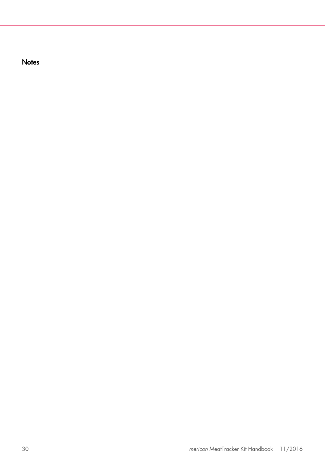**Notes**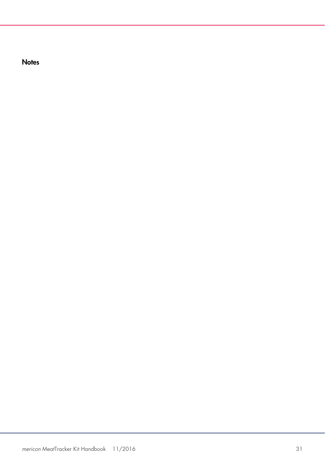**Notes**